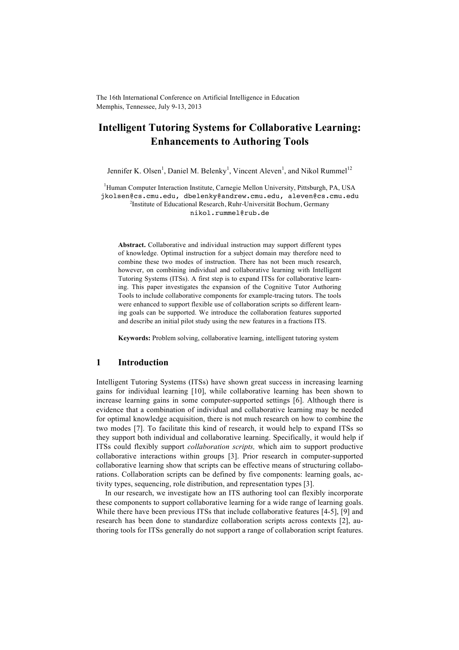The 16th International Conference on Artificial Intelligence in Education Memphis, Tennessee, July 9-13, 2013

# **Intelligent Tutoring Systems for Collaborative Learning: Enhancements to Authoring Tools**

Jennifer K. Olsen<sup>1</sup>, Daniel M. Belenky<sup>1</sup>, Vincent Aleven<sup>1</sup>, and Nikol Rummel<sup>12</sup>

<sup>1</sup>Human Computer Interaction Institute, Carnegie Mellon University, Pittsburgh, PA, USA jkolsen@cs.cmu.edu, dbelenky@andrew.cmu.edu, aleven@cs.cmu.edu <sup>2</sup>Institute of Educational Research, Ruhr-Universität Bochum, Germany nikol.rummel@rub.de

**Abstract.** Collaborative and individual instruction may support different types of knowledge. Optimal instruction for a subject domain may therefore need to combine these two modes of instruction. There has not been much research, however, on combining individual and collaborative learning with Intelligent Tutoring Systems (ITSs). A first step is to expand ITSs for collaborative learning. This paper investigates the expansion of the Cognitive Tutor Authoring Tools to include collaborative components for example-tracing tutors. The tools were enhanced to support flexible use of collaboration scripts so different learning goals can be supported. We introduce the collaboration features supported and describe an initial pilot study using the new features in a fractions ITS.

**Keywords:** Problem solving, collaborative learning, intelligent tutoring system

#### **1 Introduction**

Intelligent Tutoring Systems (ITSs) have shown great success in increasing learning gains for individual learning [10], while collaborative learning has been shown to increase learning gains in some computer-supported settings [6]. Although there is evidence that a combination of individual and collaborative learning may be needed for optimal knowledge acquisition, there is not much research on how to combine the two modes [7]. To facilitate this kind of research, it would help to expand ITSs so they support both individual and collaborative learning. Specifically, it would help if ITSs could flexibly support *collaboration scripts,* which aim to support productive collaborative interactions within groups [3]. Prior research in computer-supported collaborative learning show that scripts can be effective means of structuring collaborations. Collaboration scripts can be defined by five components: learning goals, activity types, sequencing, role distribution, and representation types [3].

In our research, we investigate how an ITS authoring tool can flexibly incorporate these components to support collaborative learning for a wide range of learning goals. While there have been previous ITSs that include collaborative features [4-5], [9] and research has been done to standardize collaboration scripts across contexts [2], authoring tools for ITSs generally do not support a range of collaboration script features.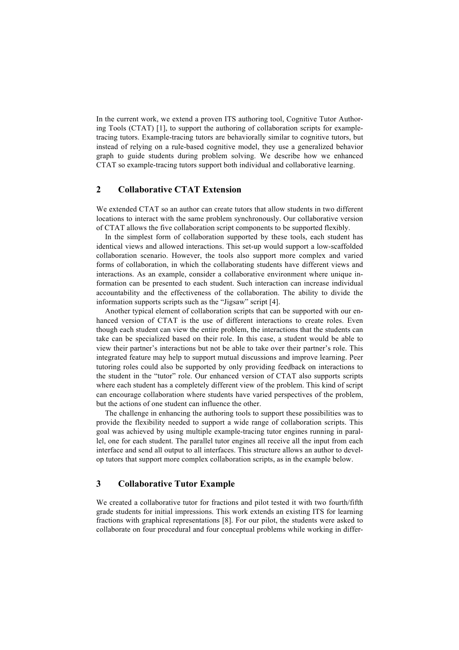In the current work, we extend a proven ITS authoring tool, Cognitive Tutor Authoring Tools (CTAT) [1], to support the authoring of collaboration scripts for exampletracing tutors. Example-tracing tutors are behaviorally similar to cognitive tutors, but instead of relying on a rule-based cognitive model, they use a generalized behavior graph to guide students during problem solving. We describe how we enhanced CTAT so example-tracing tutors support both individual and collaborative learning.

# **2 Collaborative CTAT Extension**

We extended CTAT so an author can create tutors that allow students in two different locations to interact with the same problem synchronously. Our collaborative version of CTAT allows the five collaboration script components to be supported flexibly.

In the simplest form of collaboration supported by these tools, each student has identical views and allowed interactions. This set-up would support a low-scaffolded collaboration scenario. However, the tools also support more complex and varied forms of collaboration, in which the collaborating students have different views and interactions. As an example, consider a collaborative environment where unique information can be presented to each student. Such interaction can increase individual accountability and the effectiveness of the collaboration. The ability to divide the information supports scripts such as the "Jigsaw" script [4].

Another typical element of collaboration scripts that can be supported with our enhanced version of CTAT is the use of different interactions to create roles. Even though each student can view the entire problem, the interactions that the students can take can be specialized based on their role. In this case, a student would be able to view their partner's interactions but not be able to take over their partner's role. This integrated feature may help to support mutual discussions and improve learning. Peer tutoring roles could also be supported by only providing feedback on interactions to the student in the "tutor" role. Our enhanced version of CTAT also supports scripts where each student has a completely different view of the problem. This kind of script can encourage collaboration where students have varied perspectives of the problem, but the actions of one student can influence the other.

The challenge in enhancing the authoring tools to support these possibilities was to provide the flexibility needed to support a wide range of collaboration scripts. This goal was achieved by using multiple example-tracing tutor engines running in parallel, one for each student. The parallel tutor engines all receive all the input from each interface and send all output to all interfaces. This structure allows an author to develop tutors that support more complex collaboration scripts, as in the example below.

### **3 Collaborative Tutor Example**

We created a collaborative tutor for fractions and pilot tested it with two fourth/fifth grade students for initial impressions. This work extends an existing ITS for learning fractions with graphical representations [8]. For our pilot, the students were asked to collaborate on four procedural and four conceptual problems while working in differ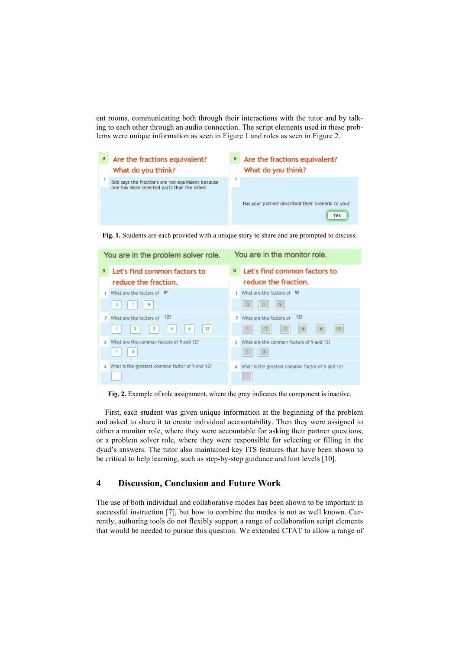ent rooms, communicating both through their interactions with the tutor and by talking to each other through an audio connection. The script elements used in these problems were unique information as seen in Figure 1 and roles as seen in Figure 2.



**Fig. 1.** Students are each provided with a unique story to share and are prompted to discuss.

| You are in the problem solver role. |                                                                 | You are in the monitor role. |                                                 |
|-------------------------------------|-----------------------------------------------------------------|------------------------------|-------------------------------------------------|
| B                                   | Let's find common factors to                                    | B                            | Let's find common factors to                    |
|                                     | reduce the fraction.                                            |                              | reduce the fraction.                            |
|                                     | What are the factors of 9?                                      |                              | What are the factors of 9?                      |
|                                     | 9<br>3                                                          |                              |                                                 |
|                                     | 12?<br>2 What are the factors of                                |                              | 12?<br>2 What are the factors of                |
|                                     | $\overline{\mathbf{3}}$<br>12<br>$\mathbf{2}$<br>6<br>$\vert$ 4 |                              | 12 <sub>1</sub><br>$\sqrt{4}$<br>6 <sub>6</sub> |
|                                     | 3 What are the common factors of 9 and 12?                      | 3                            | What are the common factors of 9 and 12?        |
|                                     | 3                                                               |                              |                                                 |
| 4                                   | What is the greatest common factor of 9 and 12?                 |                              | What is the greatest common factor of 9 and 12? |

**Fig. 2.** Example of role assignment, where the gray indicates the component is inactive.

First, each student was given unique information at the beginning of the problem and asked to share it to create individual accountability. Then they were assigned to either a monitor role, where they were accountable for asking their partner questions, or a problem solver role, where they were responsible for selecting or filling in the dyad's answers. The tutor also maintained key ITS features that have been shown to be critical to help learning, such as step-by-step guidance and hint levels [10].

### **4 Discussion, Conclusion and Future Work**

The use of both individual and collaborative modes has been shown to be important in successful instruction [7], but how to combine the modes is not as well known. Currently, authoring tools do not flexibly support a range of collaboration script elements that would be needed to pursue this question. We extended CTAT to allow a range of